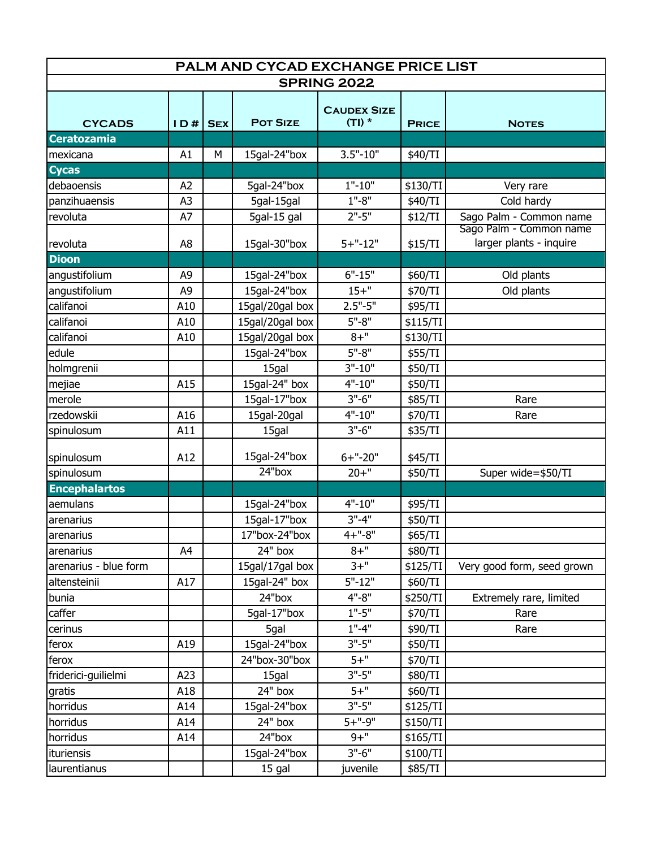| PALM AND CYCAD EXCHANGE PRICE LIST |                |            |                 |                                |              |                                                    |  |  |  |  |
|------------------------------------|----------------|------------|-----------------|--------------------------------|--------------|----------------------------------------------------|--|--|--|--|
| <b>SPRING 2022</b>                 |                |            |                 |                                |              |                                                    |  |  |  |  |
| <b>CYCADS</b>                      | ID#            | <b>SEX</b> | <b>POT SIZE</b> | <b>CAUDEX SIZE</b><br>$(TI)$ * | <b>PRICE</b> | <b>NOTES</b>                                       |  |  |  |  |
| <b>Ceratozamia</b>                 |                |            |                 |                                |              |                                                    |  |  |  |  |
| mexicana                           | A1             | М          | 15gal-24"box    | $3.5" - 10"$                   | \$40/TI      |                                                    |  |  |  |  |
| <b>Cycas</b>                       |                |            |                 |                                |              |                                                    |  |  |  |  |
| debaoensis                         | A <sub>2</sub> |            | 5gal-24"box     | $1" - 10"$                     | \$130/TI     | Very rare                                          |  |  |  |  |
| panzihuaensis                      | A <sub>3</sub> |            | 5gal-15gal      | $1" - 8"$                      | \$40/TI      | Cold hardy                                         |  |  |  |  |
| revoluta                           | A7             |            | 5gal-15 gal     | $2" - 5"$                      | \$12/TI      | Sago Palm - Common name                            |  |  |  |  |
| revoluta                           | A <sub>8</sub> |            | 15gal-30"box    | $5 + "-12"$                    | \$15/TI      | Sago Palm - Common name<br>larger plants - inquire |  |  |  |  |
| <b>Dioon</b>                       |                |            |                 |                                |              |                                                    |  |  |  |  |
| angustifolium                      | A <sub>9</sub> |            | 15gal-24"box    | $6" - 15"$                     | \$60/TI      | Old plants                                         |  |  |  |  |
| angustifolium                      | A <sub>9</sub> |            | 15gal-24"box    | $15 +$ "                       | \$70/TI      | Old plants                                         |  |  |  |  |
| califanoi                          | A10            |            | 15gal/20gal box | $2.5" - 5"$                    | \$95/TI      |                                                    |  |  |  |  |
| califanoi                          | A10            |            | 15gal/20gal box | $5" - 8"$                      | \$115/TI     |                                                    |  |  |  |  |
| califanoi                          | A10            |            | 15gal/20gal box | $8 + "$                        | \$130/TI     |                                                    |  |  |  |  |
| edule                              |                |            | 15gal-24"box    | $5" - 8"$                      | \$55/TI      |                                                    |  |  |  |  |
| holmgrenii                         |                |            | 15gal           | $3" - 10"$                     | \$50/TI      |                                                    |  |  |  |  |
| mejiae                             | A15            |            | 15gal-24" box   | $4" - 10"$                     | \$50/TI      |                                                    |  |  |  |  |
| merole                             |                |            | 15gal-17"box    | $3" - 6"$                      | \$85/TI      | Rare                                               |  |  |  |  |
| rzedowskii                         | A16            |            | 15gal-20gal     | $4" - 10"$                     | \$70/TI      | Rare                                               |  |  |  |  |
| spinulosum                         | A11            |            | 15gal           | $3" - 6"$                      | \$35/TI      |                                                    |  |  |  |  |
| spinulosum                         | A12            |            | 15gal-24"box    | $6 +$ "-20"                    | \$45/TI      |                                                    |  |  |  |  |
| spinulosum                         |                |            | 24"box          | $20 + "$                       | \$50/TI      | Super wide=\$50/TI                                 |  |  |  |  |
| <b>Encephalartos</b>               |                |            |                 |                                |              |                                                    |  |  |  |  |
| aemulans                           |                |            | 15gal-24"box    | $4" - 10"$                     | \$95/TI      |                                                    |  |  |  |  |
| arenarius                          |                |            | 15gal-17"box    | $3" - 4"$                      | \$50/TI      |                                                    |  |  |  |  |
| arenarius                          |                |            | 17"box-24"box   | $4 +$ "-8"                     | \$65/TI      |                                                    |  |  |  |  |
| arenarius                          | A4             |            | 24" box         | $8 + "$                        | \$80/TI      |                                                    |  |  |  |  |
| arenarius - blue form              |                |            | 15gal/17gal box | $3 +$ "                        | \$125/TI     | Very good form, seed grown                         |  |  |  |  |
| altensteinii                       | A17            |            | 15gal-24" box   | $5" - 12"$                     | \$60/TI      |                                                    |  |  |  |  |
| bunia                              |                |            | 24"box          | $4" - 8"$                      | \$250/TI     | Extremely rare, limited                            |  |  |  |  |
| caffer                             |                |            | 5gal-17"box     | $1" - 5"$                      | \$70/TI      | Rare                                               |  |  |  |  |
| cerinus                            |                |            | 5gal            | $1" - 4"$                      | \$90/TI      | Rare                                               |  |  |  |  |
| ferox                              | A19            |            | 15gal-24"box    | $3" - 5"$                      | \$50/TI      |                                                    |  |  |  |  |
| ferox                              |                |            | 24"box-30"box   | $5+$ "                         | \$70/TI      |                                                    |  |  |  |  |
| friderici-guilielmi                | A23            |            | 15gal           | $3" - 5"$                      | \$80/TI      |                                                    |  |  |  |  |
| gratis                             | A18            |            | 24" box         | $5+$ "                         | \$60/TI      |                                                    |  |  |  |  |
| horridus                           | A14            |            | 15gal-24"box    | $3" - 5"$                      | \$125/TI     |                                                    |  |  |  |  |
| horridus                           | A14            |            | 24" box         | $5 + "-9"$                     | \$150/TI     |                                                    |  |  |  |  |
| horridus                           | A14            |            | 24"box          | $9 +$ "                        | \$165/TI     |                                                    |  |  |  |  |
| ituriensis                         |                |            | 15gal-24"box    | $3" - 6"$                      | \$100/TI     |                                                    |  |  |  |  |
| laurentianus                       |                |            | 15 gal          | juvenile                       | \$85/TI      |                                                    |  |  |  |  |